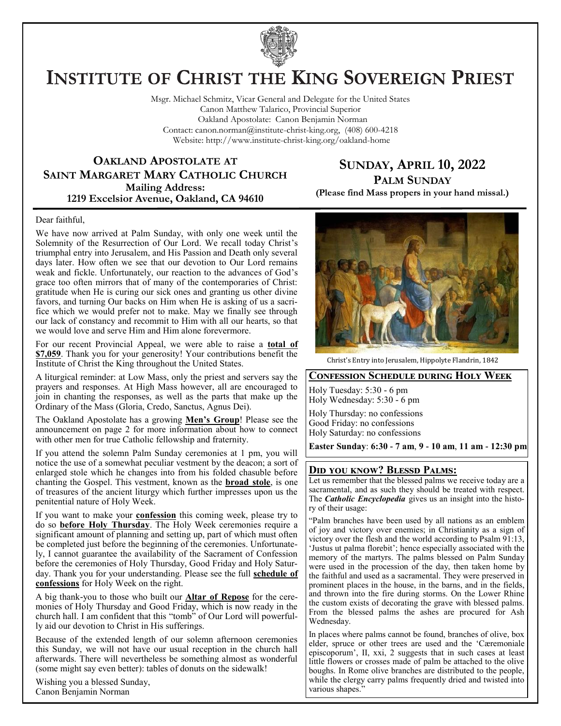

# **INSTITUTE OF CHRIST THE KING SOVEREIGN PRIEST**

Msgr. Michael Schmitz, Vicar General and Delegate for the United States Canon Matthew Talarico, Provincial Superior Oakland Apostolate: Canon Benjamin Norman Contact: canon.norman@institute-christ-king.org, (408) 600-4218 Website: http://www.institute-christ-king.org/oakland-home

### **OAKLAND APOSTOLATE AT SAINT MARGARET MARY CATHOLIC CHURCH Mailing Address: 1219 Excelsior Avenue, Oakland, CA 94610**

**SUNDAY, APRIL 10, 2022 PALM SUNDAY**

**(Please find Mass propers in your hand missal.)**

#### Dear faithful,

We have now arrived at Palm Sunday, with only one week until the Solemnity of the Resurrection of Our Lord. We recall today Christ's triumphal entry into Jerusalem, and His Passion and Death only several days later. How often we see that our devotion to Our Lord remains weak and fickle. Unfortunately, our reaction to the advances of God's grace too often mirrors that of many of the contemporaries of Christ: gratitude when He is curing our sick ones and granting us other divine favors, and turning Our backs on Him when He is asking of us a sacrifice which we would prefer not to make. May we finally see through our lack of constancy and recommit to Him with all our hearts, so that we would love and serve Him and Him alone forevermore.

For our recent Provincial Appeal, we were able to raise a **total of \$7,059**. Thank you for your generosity! Your contributions benefit the Institute of Christ the King throughout the United States.

A liturgical reminder: at Low Mass, only the priest and servers say the prayers and responses. At High Mass however, all are encouraged to join in chanting the responses, as well as the parts that make up the Ordinary of the Mass (Gloria, Credo, Sanctus, Agnus Dei).

The Oakland Apostolate has a growing **Men's Group**! Please see the announcement on page 2 for more information about how to connect with other men for true Catholic fellowship and fraternity.

If you attend the solemn Palm Sunday ceremonies at 1 pm, you will notice the use of a somewhat peculiar vestment by the deacon; a sort of enlarged stole which he changes into from his folded chasuble before chanting the Gospel. This vestment, known as the **broad stole**, is one of treasures of the ancient liturgy which further impresses upon us the penitential nature of Holy Week.

If you want to make your **confession** this coming week, please try to do so **before Holy Thursday**. The Holy Week ceremonies require a significant amount of planning and setting up, part of which must often be completed just before the beginning of the ceremonies. Unfortunately, I cannot guarantee the availability of the Sacrament of Confession before the ceremonies of Holy Thursday, Good Friday and Holy Saturday. Thank you for your understanding. Please see the full **schedule of confessions** for Holy Week on the right.

A big thank-you to those who built our **Altar of Repose** for the ceremonies of Holy Thursday and Good Friday, which is now ready in the church hall. I am confident that this "tomb" of Our Lord will powerfully aid our devotion to Christ in His sufferings.

Because of the extended length of our solemn afternoon ceremonies this Sunday, we will not have our usual reception in the church hall afterwards. There will nevertheless be something almost as wonderful (some might say even better): tables of donuts on the sidewalk!

Wishing you a blessed Sunday, Canon Benjamin Norman



Christ's Entry into Jerusalem, Hippolyte Flandrin, 1842

#### **Confession Schedule during Holy Week**

Holy Tuesday: 5:30 - 6 pm Holy Wednesday: 5:30 - 6 pm

Holy Thursday: no confessions Good Friday: no confessions Holy Saturday: no confessions

**Easter Sunday**: **6:30 - 7 am**, **9 - 10 am**, **11 am - 12:30 pm**

#### **Did you know? Blessd Palms:**

Let us remember that the blessed palms we receive today are a sacramental, and as such they should be treated with respect. The *Catholic Encyclopedia* gives us an insight into the history of their usage:

"Palm branches have been used by all nations as an emblem of joy and victory over enemies; in Christianity as a sign of victory over the flesh and the world according to Psalm 91:13, 'Justus ut palma florebit'; hence especially associated with the memory of the martyrs. The palms blessed on Palm Sunday were used in the procession of the day, then taken home by the faithful and used as a sacramental. They were preserved in prominent places in the house, in the barns, and in the fields, and thrown into the fire during storms. On the Lower Rhine the custom exists of decorating the grave with blessed palms. From the blessed palms the ashes are procured for Ash Wednesday.

In places where palms cannot be found, branches of olive, box elder, spruce or other trees are used and the 'Cæremoniale episcoporum', II, xxi, 2 suggests that in such cases at least little flowers or crosses made of palm be attached to the olive boughs. In Rome olive branches are distributed to the people, while the clergy carry palms frequently dried and twisted into various shapes.'